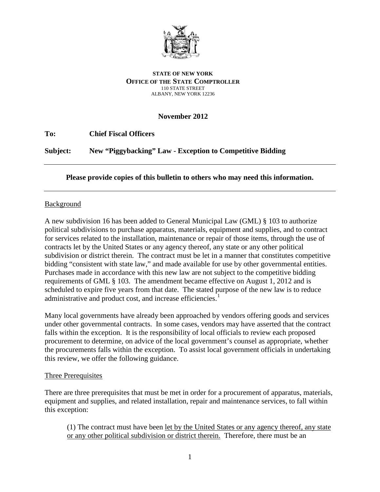

#### **STATE OF NEW YORK OFFICE OF THE STATE COMPTROLLER** 110 STATE STREET ALBANY, NEW YORK 12236

# **November 2012**

**To: Chief Fiscal Officers Subject: New "Piggybacking" Law - Exception to Competitive Bidding**

# **Please provide copies of this bulletin to others who may need this information.**

# Background

A new subdivision 16 has been added to General Municipal Law (GML) § 103 to authorize political subdivisions to purchase apparatus, materials, equipment and supplies, and to contract for services related to the installation, maintenance or repair of those items, through the use of contracts let by the United States or any agency thereof, any state or any other political subdivision or district therein. The contract must be let in a manner that constitutes competitive bidding "consistent with state law," and made available for use by other governmental entities. Purchases made in accordance with this new law are not subject to the competitive bidding requirements of GML § 103. The amendment became effective on August 1, 2012 and is scheduled to expire five years from that date. The stated purpose of the new law is to reduce administrative and product cost, and increase efficiencies.<sup>[1](#page-3-0)</sup>

Many local governments have already been approached by vendors offering goods and services under other governmental contracts. In some cases, vendors may have asserted that the contract falls within the exception. It is the responsibility of local officials to review each proposed procurement to determine, on advice of the local government's counsel as appropriate, whether the procurements falls within the exception. To assist local government officials in undertaking this review, we offer the following guidance.

### Three Prerequisites

There are three prerequisites that must be met in order for a procurement of apparatus, materials, equipment and supplies, and related installation, repair and maintenance services, to fall within this exception:

(1) The contract must have been let by the United States or any agency thereof, any state or any other political subdivision or district therein. Therefore, there must be an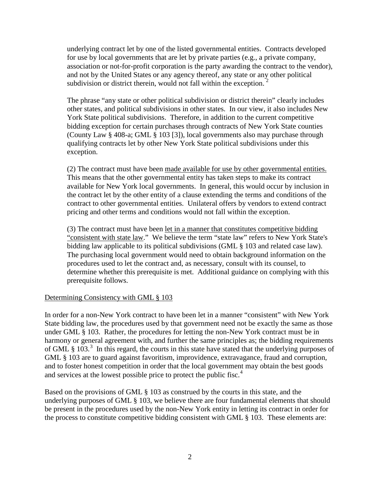underlying contract let by one of the listed governmental entities. Contracts developed for use by local governments that are let by private parties (e.g., a private company, association or not-for-profit corporation is the party awarding the contract to the vendor), and not by the United States or any agency thereof, any state or any other political subdivision or district therein, would not fall within the exception.  $2^2$  $2^2$ 

The phrase "any state or other political subdivision or district therein" clearly includes other states, and political subdivisions in other states. In our view, it also includes New York State political subdivisions. Therefore, in addition to the current competitive bidding exception for certain purchases through contracts of New York State counties (County Law § 408-a; GML § 103 [3]), local governments also may purchase through qualifying contracts let by other New York State political subdivisions under this exception.

(2) The contract must have been made available for use by other governmental entities. This means that the other governmental entity has taken steps to make its contract available for New York local governments. In general, this would occur by inclusion in the contract let by the other entity of a clause extending the terms and conditions of the contract to other governmental entities. Unilateral offers by vendors to extend contract pricing and other terms and conditions would not fall within the exception.

(3) The contract must have been let in a manner that constitutes competitive bidding "consistent with state law." We believe the term "state law" refers to New York State's bidding law applicable to its political subdivisions (GML § 103 and related case law). The purchasing local government would need to obtain background information on the procedures used to let the contract and, as necessary, consult with its counsel, to determine whether this prerequisite is met. Additional guidance on complying with this prerequisite follows.

### Determining Consistency with GML § 103

In order for a non-New York contract to have been let in a manner "consistent" with New York State bidding law, the procedures used by that government need not be exactly the same as those under GML § 103. Rather, the procedures for letting the non-New York contract must be in harmony or general agreement with, and further the same principles as; the bidding requirements of GML  $\S$  10[3](#page-4-1).<sup>3</sup> In this regard, the courts in this state have stated that the underlying purposes of GML § 103 are to guard against favoritism, improvidence, extravagance, fraud and corruption, and to foster honest competition in order that the local government may obtain the best goods and services at the lowest possible price to protect the public fisc.<sup>[4](#page-4-2)</sup>

Based on the provisions of GML § 103 as construed by the courts in this state, and the underlying purposes of GML § 103, we believe there are four fundamental elements that should be present in the procedures used by the non-New York entity in letting its contract in order for the process to constitute competitive bidding consistent with GML § 103. These elements are: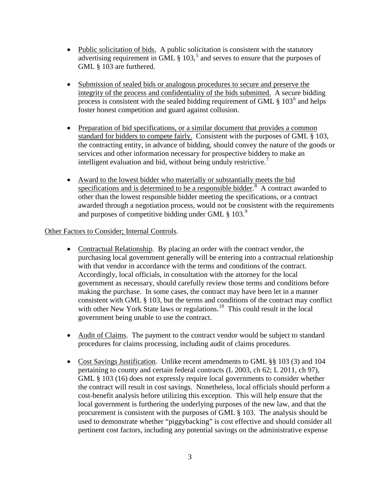- Public solicitation of bids. A public solicitation is consistent with the statutory advertising requirement in GML  $\S$  103,<sup>[5](#page-4-3)</sup> and serves to ensure that the purposes of GML § 103 are furthered.
- Submission of sealed bids or analogous procedures to secure and preserve the integrity of the process and confidentiality of the bids submitted. A secure bidding process is consistent with the sealed bidding requirement of GML  $\S$  103<sup>[6](#page-4-4)</sup> and helps foster honest competition and guard against collusion.
- Preparation of bid specifications, or a similar document that provides a common standard for bidders to compete fairly. Consistent with the purposes of GML § 103, the contracting entity, in advance of bidding, should convey the nature of the goods or services and other information necessary for prospective bidders to make an intelligent evaluation and bid, without being unduly restrictive.<sup>[7](#page-4-5)</sup>
- Award to the lowest bidder who materially or substantially meets the bid specifications and is determined to be a responsible bidder.<sup>[8](#page-4-6)</sup> A contract awarded to other than the lowest responsible bidder meeting the specifications, or a contract awarded through a negotiation process, would not be consistent with the requirements and purposes of competitive bidding under GML  $\S 103.<sup>9</sup>$  $\S 103.<sup>9</sup>$  $\S 103.<sup>9</sup>$

### Other Factors to Consider; Internal Controls.

- Contractual Relationship. By placing an order with the contract vendor, the purchasing local government generally will be entering into a contractual relationship with that vendor in accordance with the terms and conditions of the contract. Accordingly, local officials, in consultation with the attorney for the local government as necessary, should carefully review those terms and conditions before making the purchase. In some cases, the contract may have been let in a manner consistent with GML § 103, but the terms and conditions of the contract may conflict with other New York State laws or regulations.<sup>[10](#page-4-8)</sup> This could result in the local government being unable to use the contract.
- Audit of Claims. The payment to the contract vendor would be subject to standard procedures for claims processing, including audit of claims procedures.
- Cost Savings Justification. Unlike recent amendments to GML §§ 103 (3) and 104 pertaining to county and certain federal contracts (L 2003, ch 62; L 2011, ch 97), GML § 103 (16) does not expressly require local governments to consider whether the contract will result in cost savings. Nonetheless, local officials should perform a cost-benefit analysis before utilizing this exception. This will help ensure that the local government is furthering the underlying purposes of the new law, and that the procurement is consistent with the purposes of GML § 103. The analysis should be used to demonstrate whether "piggybacking" is cost effective and should consider all pertinent cost factors, including any potential savings on the administrative expense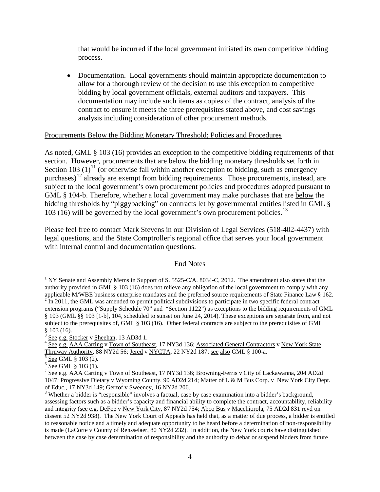that would be incurred if the local government initiated its own competitive bidding process.

• Documentation. Local governments should maintain appropriate documentation to allow for a thorough review of the decision to use this exception to competitive bidding by local government officials, external auditors and taxpayers. This documentation may include such items as copies of the contract, analysis of the contract to ensure it meets the three prerequisites stated above, and cost savings analysis including consideration of other procurement methods.

#### Procurements Below the Bidding Monetary Threshold; Policies and Procedures

As noted, GML § 103 (16) provides an exception to the competitive bidding requirements of that section. However, procurements that are below the bidding monetary thresholds set forth in Section 103 (1)<sup>[11](#page-4-9)</sup> (or otherwise fall within another exception to bidding, such as emergency purchases)<sup>[12](#page-4-10)</sup> already are exempt from bidding requirements. Those procurements, instead, are subject to the local government's own procurement policies and procedures adopted pursuant to GML § 104-b. Therefore, whether a local government may make purchases that are below the bidding thresholds by "piggybacking" on contracts let by governmental entities listed in GML § 103 (16) will be governed by the local government's own procurement policies.<sup>[13](#page-4-11)</sup>

Please feel free to contact Mark Stevens in our Division of Legal Services (518-402-4437) with legal questions, and the State Comptroller's regional office that serves your local government with internal control and documentation questions.

#### End Notes

<span id="page-3-0"></span><sup>&</sup>lt;sup>1</sup> NY Senate and Assembly Mems in Support of S. 5525-C/A. 8034-C, 2012. The amendment also states that the authority provided in GML § 103 (16) does not relieve any obligation of the local government to comply with any applicable M/WBE business enterprise mandates and the preferred source requirements of State Finance Law § 162  $\frac{2}{1}$ In 2011, the GML was amended to permit political subdivisions to participate in two specific federal contract extension programs ("Supply Schedule 70" and "Section 1122") as exceptions to the bidding requirements of GML § 103 (GML §§ 103 [1-b], 104, scheduled to sunset on June 24, 2014). These exceptions are separate from, and not subject to the prerequisites of, GML § 103 (16). Other federal contracts are subject to the prerequisites of GML § 103 (16).

<sup>&</sup>lt;sup>3</sup> See e.g. Stocker v Sheehan, 13 AD3d 1.<br><sup>4</sup> <u>See e.g. AAA Carting v Town of Southeast</u>, 17 NY3d 136; <u>Associated General Contractors</u> v <u>New York State</u> Thruway Authority, 88 NY2d 56; Jered v NYCTA, 22 NY2d 187; <u>see al</u>

<sup>&</sup>lt;sup>5</sup> <u>See</u> GML § 103 (2).<br><sup>6</sup> <u>See</u> GML § 103 (1).<br><sup>7</sup> See e.g. AA<u>A Carting</u> v <u>Town of Southeast</u>, 17 NY3d 136; <u>Browning-Ferris</u> v <u>City of Lackawanna</u>, 204 AD2d 1047; Progressive Dietary v Wyoming County, 90 AD2d 214; Matter of L & M Bus Corp. v New York City Dept. of Educ., 17 NY3d 149; Gerzof v Sweeney, 16 NY2d 206.

 $8$  Whether a bidder is "responsible" involves a factual, case by case examination into a bidder's background, assessing factors such as a bidder's capacity and financial ability to complete the contract, accountability, reliability and integrity (see e.g. DeFoe v New York City, 87 NY2d 754; Abco Bus v Macchiorola, 75 AD2d 831 revd on dissent 52 NY2d 938). The New York Court of Appeals has held that, as a matter of due process, a bidder is entitled to reasonable notice and a timely and adequate opportunity to be heard before a determination of non-responsibility is made (LaCorte v County of Rensselaer, 80 NY2d 232). In addition, the New York courts have distinguished between the case by case determination of responsibility and the authority to debar or suspend bidders from future